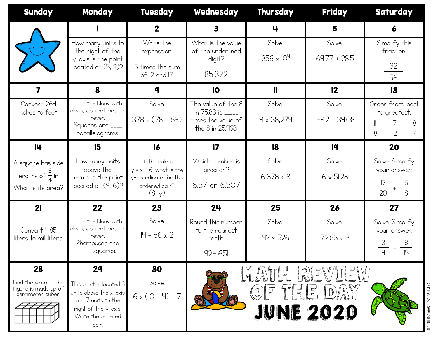| <b>Sunday</b>                                | Monday                                          | <b>Tuesday</b>                              | Wednesday                               | Thursday            | <b>Friday</b>    | <b>Saturday</b>                   |
|----------------------------------------------|-------------------------------------------------|---------------------------------------------|-----------------------------------------|---------------------|------------------|-----------------------------------|
|                                              |                                                 | $\mathbf 2$                                 | $\mathbf{3}$                            | 4                   | 5                | 6                                 |
|                                              | How many units to<br>the right of the           | Write the                                   | What is the value<br>of the underlined  | Solve.              | Solve.           | Simplify this<br>fraction.        |
|                                              | y-axis is the point                             | expression.                                 | digit?                                  | $356 \times 10^{4}$ | $69.77 + 28.5$   |                                   |
|                                              | located at $(5, 2)$ ?                           | 5 times the sum<br>of 12 and 17.            | 85.372                                  |                     |                  | $\frac{32}{ }$<br>$\overline{56}$ |
|                                              | 8                                               | q                                           | $\overline{10}$                         | $\mathbf l$         | 12               | 13                                |
| Convert 264<br>inches to feet.               | Fill in the blank with<br>always, sometimes, or | Solve.                                      | The value of the 8<br>in 75.83 is _____ | Solve.              | Solve.           | Order from least<br>to greatest.  |
|                                              | never.<br>Squares are ____                      | $378 \div (78 - 69)$                        | times the value of                      | $9 \times 38,274$   | I49.2 - 39.08    |                                   |
|                                              | parallelograms.                                 |                                             | the 8 in 25.968.                        |                     |                  | $\frac{8}{9}$<br>$\overline{12}$  |
| 14                                           | 15                                              | $\overline{6}$                              | $\overline{17}$                         | 8                   | 19               | 20                                |
| A square has side                            | How many units<br>above the                     | If the rule is<br>$y = x + 6$ , what is the | Which number is<br>greater?             | Solve.              | Solve.           | Solve. Simplify<br>your answer.   |
| lengths of $\frac{3}{4}$ in.                 | x-axis is the point<br>located at $(9, 6)$ ?    | y-coordinate for this<br>ordered pair?      | 6.57 or 6.507                           | $6,378 \div 8$      | $6 \times 51.28$ |                                   |
| What is its area?                            |                                                 | (8, y)                                      |                                         |                     |                  | $\overline{20}$                   |
| 21                                           | 22                                              | 23                                          | 24                                      | 25                  | 26               | 27                                |
| Convert 4.85                                 | Fill in the blank with<br>always, sometimes, or | Solve.                                      | Round this number<br>to the nearest     | Solve.              | Solve.           | Solve. Simplify                   |
| liters to milliliters.                       | never.<br>Rhombuses are                         | $H + 56 \times 2$                           | tenth.                                  | $42 \times 526$     | $72.63 \div 3$   | your answer.<br>3                 |
|                                              | . <sub>—</sub> squares.                         |                                             | 924.651                                 |                     |                  | טו                                |
| 28                                           | 29                                              | 30                                          |                                         |                     |                  |                                   |
| Find the volume. The<br>figure is made up of | This point is located 3                         | Solve.                                      |                                         |                     |                  |                                   |
| centimeter cubes.                            | units above the x-axis<br>and 7 units to the    | $6 \times (10 + 4) \div 7$                  |                                         |                     |                  |                                   |
|                                              | right of the y-axis.<br>Write the ordered       |                                             |                                         |                     | JUNE 2020        | © 2019 Games 4 Gains, LLC         |
|                                              | pair.                                           |                                             |                                         |                     |                  |                                   |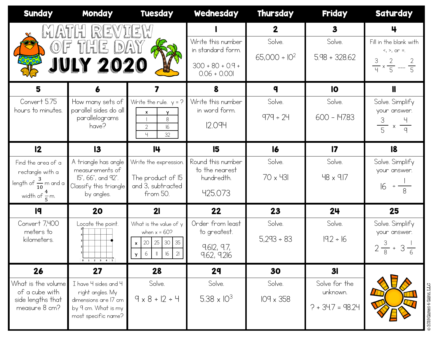| <b>Sunday</b>                                                                                           | Monday                                                                                                         | Tuesday                                                                                                    | Wednesday                                                                      | <b>Thursday</b>                                | <b>Friday</b>                                   | <b>Saturday</b>                                                                                 |
|---------------------------------------------------------------------------------------------------------|----------------------------------------------------------------------------------------------------------------|------------------------------------------------------------------------------------------------------------|--------------------------------------------------------------------------------|------------------------------------------------|-------------------------------------------------|-------------------------------------------------------------------------------------------------|
| MATITI                                                                                                  | REV<br>OF THE DAY<br>JULY 2020                                                                                 |                                                                                                            | Write this number<br>in standard form.<br>$300 + 80 + 0.9 +$<br>$0.06 + 0.001$ | $\mathbf{2}$<br>Solve.<br>$65,000 \div 10^{2}$ | $\mathbf{3}$<br>Solve.<br>$5.98 + 328.62$       | 4<br>Fill in the blank with<br>$\leq, >,$ or =.<br>$rac{3}{4} \times \frac{2}{5} - \frac{2}{5}$ |
| 5<br>Convert 5.75                                                                                       |                                                                                                                |                                                                                                            | 8<br>Write this number                                                         | $\boldsymbol{q}$<br>Solve.                     | $\overline{10}$<br>Solve.                       |                                                                                                 |
| hours to minutes.                                                                                       | How many sets of<br>parallel sides do all<br>parallelograms<br>have?                                           | Write the rule. $y = ?$<br>$\pmb{\mathsf{x}}$<br>V.<br>8<br>$\overline{2}$<br>16<br>$\overline{4}$<br>32   | in word form.<br>12.094                                                        | $979 \div 24$                                  | $600 - 147.83$                                  | Solve. Simplify<br>your answer.<br>$rac{3}{5} \times \frac{4}{9}$                               |
| 12                                                                                                      | $\overline{3}$                                                                                                 | 14                                                                                                         | 15                                                                             | $\overline{6}$                                 | $\overline{17}$                                 | 8                                                                                               |
| Find the area of a<br>rectangle with a<br>length of $\frac{3}{10}$ m and a<br>width of $\frac{4}{5}$ m. | A triangle has angle<br>measurements of<br>15°, 66°, and 92°.<br>Classify this triangle<br>by angles.          | Write the expression.<br>The product of 15<br>and 3, subtracted<br>from 50.                                | Round this number<br>to the nearest<br>hundredth.<br>425.073                   | Solve.<br>70 x 431                             | Solve.<br>$48 \times 9.17$                      | Solve. Simplify<br>your answer.                                                                 |
| 19                                                                                                      | 20                                                                                                             | 21                                                                                                         | 22                                                                             | 23                                             | 24                                              | 25                                                                                              |
| Convert 7,400<br>meters to<br>kilometers.                                                               | Locate the point.<br>$0 \t 1 \t 2 \t 3 \t 4 \t 5$                                                              | What is the value of y<br>when $x = 60$ ?<br>25<br>30 35<br>$\times$ 20<br>16<br>21<br>Y.<br>$\circ$<br>Ш. | Order from least<br>to greatest.<br>9.612, 9.7,<br>9.62, 9.216                 | Solve.<br>$5,293 \div 83$                      | Solve.<br>$19.2 \div 16$                        | Solve. Simplify<br>your answer.<br>$2\frac{3}{8}$ + 3 $\frac{1}{6}$                             |
| 26                                                                                                      | 27                                                                                                             | 28                                                                                                         | 29                                                                             | 30                                             | 3 <sub>l</sub>                                  |                                                                                                 |
| What is the volume<br>of a cube with<br>side lengths that<br>measure 8 cm?                              | I have 4 sides and 4<br>right angles. My<br>dimensions are 17 cm<br>by 9 cm. What is my<br>most specific name? | Solve.<br>$9 \times 8 + 12 \div 4$                                                                         | Solve.<br>$5.38 \times 10^{3}$                                                 | Solve.<br>$109 \times 358$                     | Solve for the<br>unknown.<br>$? + 34.7 = 98.24$ | © 2019 Games 4 Gains, LLC                                                                       |